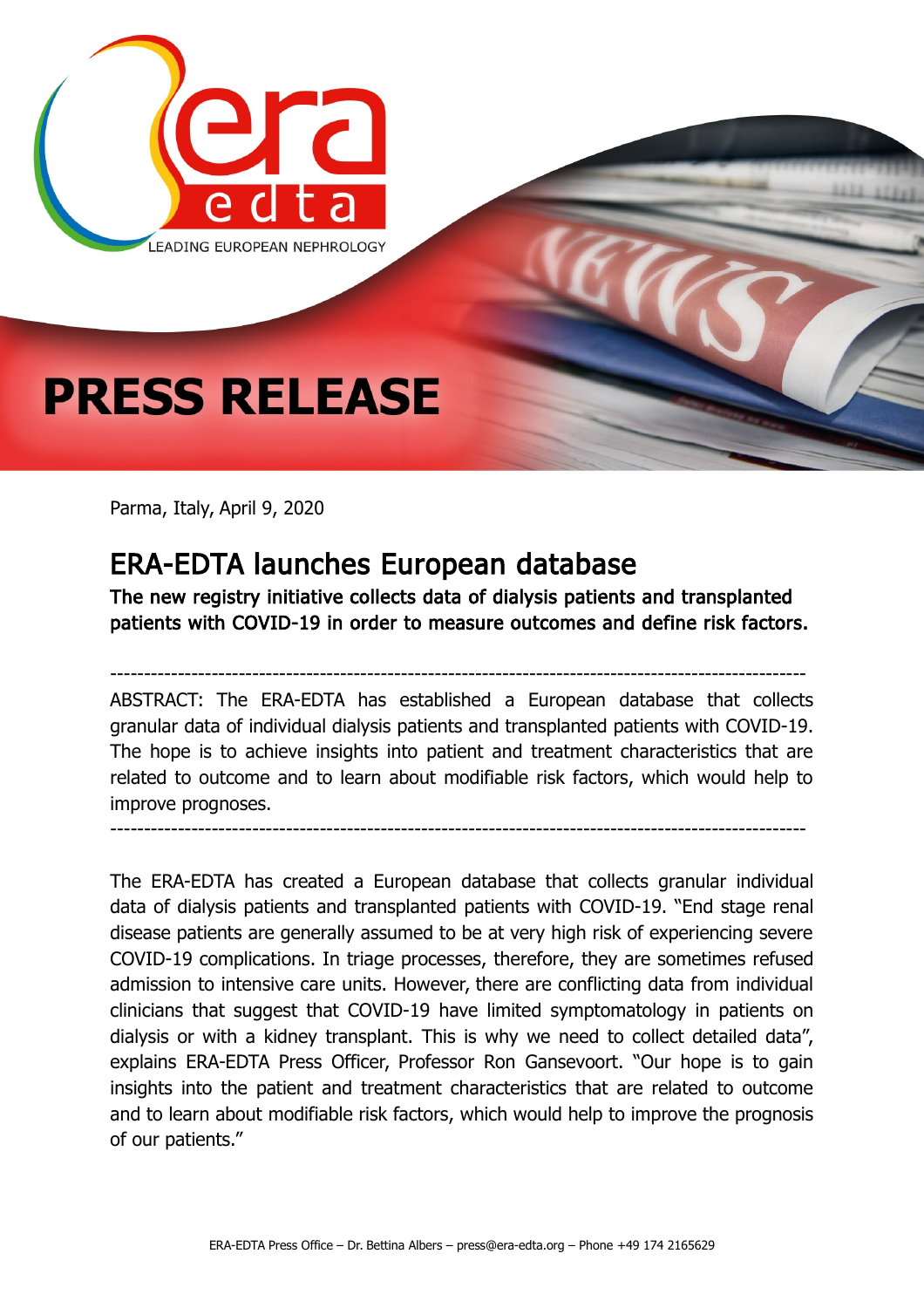

Parma, Italy, April 9, 2020

## ERA-EDTA launches European database

The new registry initiative collects data of dialysis patients and transplanted patients with COVID-19 in order to measure outcomes and define risk factors.

------------------------------------------------------------------------------------------------------- ABSTRACT: The ERA-EDTA has established a European database that collects granular data of individual dialysis patients and transplanted patients with COVID-19. The hope is to achieve insights into patient and treatment characteristics that are related to outcome and to learn about modifiable risk factors, which would help to improve prognoses.

-------------------------------------------------------------------------------------------------------

The ERA-EDTA has created a European database that collects granular individual data of dialysis patients and transplanted patients with COVID-19. "End stage renal disease patients are generally assumed to be at very high risk of experiencing severe COVID-19 complications. In triage processes, therefore, they are sometimes refused admission to intensive care units. However, there are conflicting data from individual clinicians that suggest that COVID-19 have limited symptomatology in patients on dialysis or with a kidney transplant. This is why we need to collect detailed data", explains ERA-EDTA Press Officer, Professor Ron Gansevoort. "Our hope is to gain insights into the patient and treatment characteristics that are related to outcome and to learn about modifiable risk factors, which would help to improve the prognosis of our patients."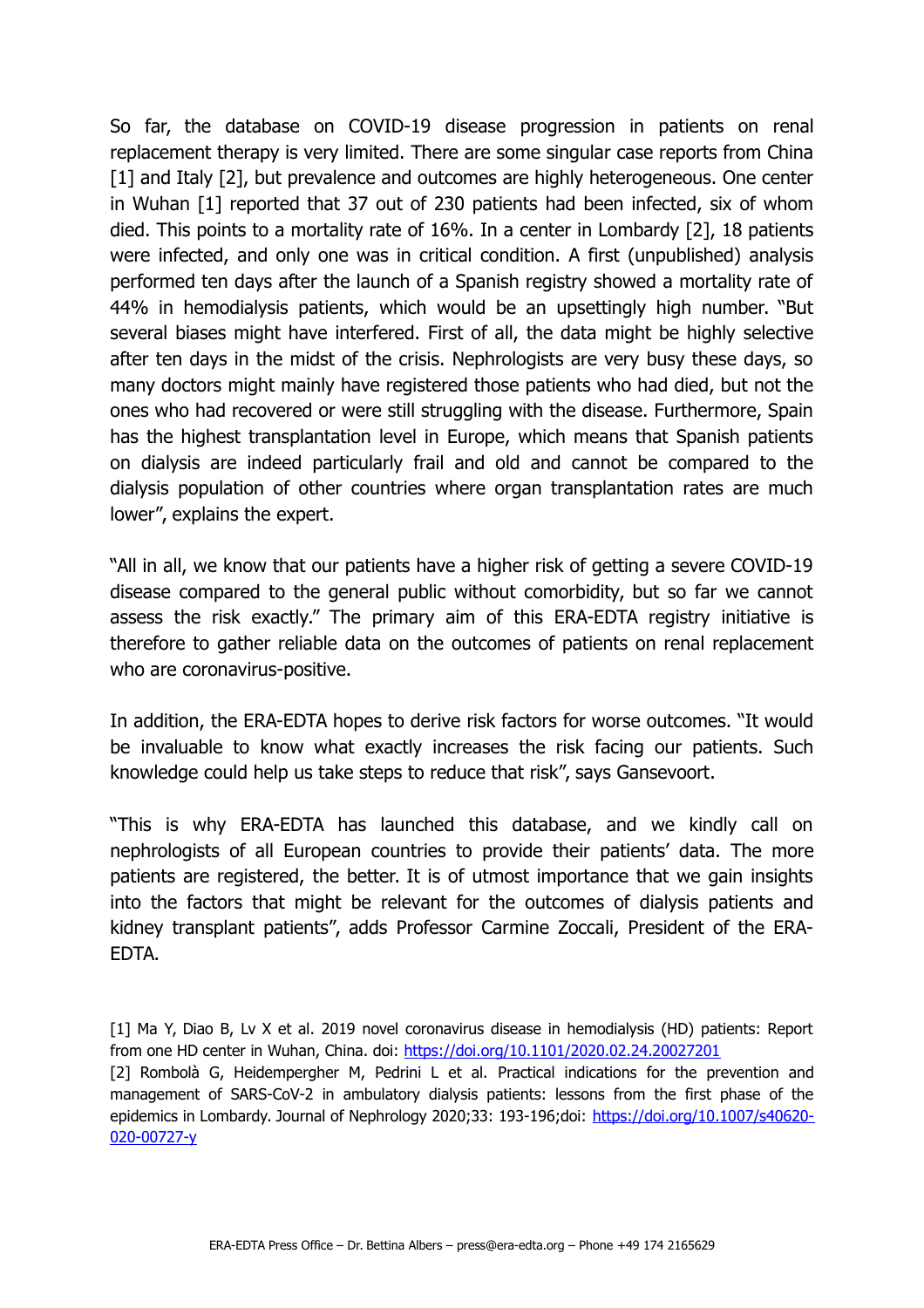So far, the database on COVID-19 disease progression in patients on renal replacement therapy is very limited. There are some singular case reports from China [1] and Italy [2], but prevalence and outcomes are highly heterogeneous. One center in Wuhan [1] reported that 37 out of 230 patients had been infected, six of whom died. This points to a mortality rate of 16%. In a center in Lombardy [2], 18 patients were infected, and only one was in critical condition. A first (unpublished) analysis performed ten days after the launch of a Spanish registry showed a mortality rate of 44% in hemodialysis patients, which would be an upsettingly high number. "But several biases might have interfered. First of all, the data might be highly selective after ten days in the midst of the crisis. Nephrologists are very busy these days, so many doctors might mainly have registered those patients who had died, but not the ones who had recovered or were still struggling with the disease. Furthermore, Spain has the highest transplantation level in Europe, which means that Spanish patients on dialysis are indeed particularly frail and old and cannot be compared to the dialysis population of other countries where organ transplantation rates are much lower", explains the expert.

"All in all, we know that our patients have a higher risk of getting a severe COVID-19 disease compared to the general public without comorbidity, but so far we cannot assess the risk exactly." The primary aim of this ERA-EDTA registry initiative is therefore to gather reliable data on the outcomes of patients on renal replacement who are coronavirus-positive.

In addition, the ERA-EDTA hopes to derive risk factors for worse outcomes. "It would be invaluable to know what exactly increases the risk facing our patients. Such knowledge could help us take steps to reduce that risk", says Gansevoort.

"This is why ERA-EDTA has launched this database, and we kindly call on nephrologists of all European countries to provide their patients' data. The more patients are registered, the better. It is of utmost importance that we gain insights into the factors that might be relevant for the outcomes of dialysis patients and kidney transplant patients", adds Professor Carmine Zoccali, President of the ERA-EDTA.

[1] Ma Y, Diao B, Lv X et al. 2019 novel coronavirus disease in hemodialysis (HD) patients: Report from one HD center in Wuhan, China. doi:<https://doi.org/10.1101/2020.02.24.20027201> [2] Rombolà G, Heidempergher M, Pedrini L et al. Practical indications for the prevention and management of SARS-CoV-2 in ambulatory dialysis patients: lessons from the first phase of the epidemics in Lombardy. Journal of Nephrology 2020;33: 193-196;doi: [https://doi.org/10.1007/s40620-](https://doi.org/10.1007/s40620-020-00727-y) [020-00727-y](https://doi.org/10.1007/s40620-020-00727-y)